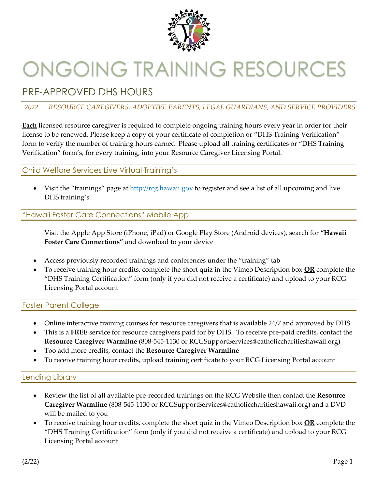

# ONGOING TRAINING RESOURCES

## PRE-APPROVED DHS HOURS

#### *2022* | *RESOURCE CAREGIVERS, ADOPTIVE PARENTS, LEGAL GUARDIANS, AND SERVICE PROVIDERS*

**Each** licensed resource caregiver is required to complete ongoing training hours every year in order for their license to be renewed. Please keep a copy of your certificate of completion or "DHS Training Verification" form to verify the number of training hours earned. Please upload all training certificates or "DHS Training Verification" form's, for every training, into your Resource Caregiver Licensing Portal.

#### Child Welfare Services Live Virtual Training's

Visit the "trainings" page at http://rcg.hawaii.gov to register and see a list of all upcoming and live DHS training's

#### "Hawaii Foster Care Connections" Mobile App

Visit the Apple App Store (iPhone, iPad) or Google Play Store (Android devices), search for **"Hawaii Foster Care Connections"** and download to your device

- Access previously recorded trainings and conferences under the "training" tab
- To receive training hour credits, complete the short quiz in the Vimeo Description box **OR** complete the "DHS Training Certification" form (only if you did not receive a certificate) and upload to your RCG Licensing Portal account

#### Foster Parent College

- Online interactive training courses for resource caregivers that is available 24/7 and approved by DHS
- This is a **FREE** service for resource caregivers paid for by DHS. To receive pre-paid credits, contact the **Resource Caregiver Warmline** (808-545-1130 or RCGSupportServices@catholiccharitieshawaii.org)
- Too add more credits, contact the **Resource Caregiver Warmline**
- To receive training hour credits, upload training certificate to your RCG Licensing Portal account

#### Lending Library

- Review the list of all available pre-recorded trainings on the RCG Website then contact the **Resource Caregiver Warmline** (808-545-1130 or RCGSupportServices@catholiccharitieshawaii.org) and a DVD will be mailed to you
- To receive training hour credits, complete the short quiz in the Vimeo Description box **OR** complete the "DHS Training Certification" form (only if you did not receive a certificate) and upload to your RCG Licensing Portal account